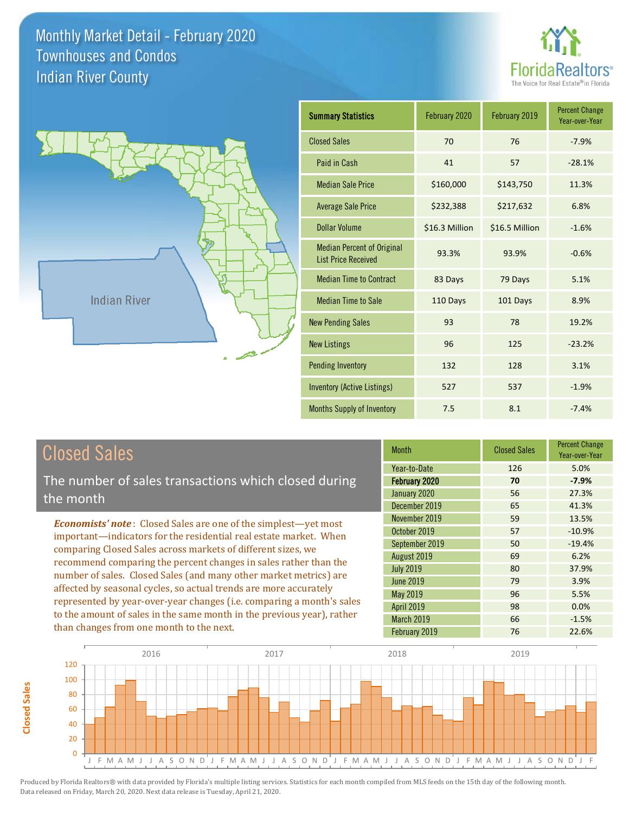

Percent Change Year-over-Year

-10.9% -19.4%

5.5% 0.0% -1.5%



| <b>Summary Statistics</b>                                       | February 2020  | February 2019  | <b>Percent Change</b><br>Year-over-Year |
|-----------------------------------------------------------------|----------------|----------------|-----------------------------------------|
| <b>Closed Sales</b>                                             | 70             | 76             | $-7.9%$                                 |
| Paid in Cash                                                    | 41             | 57             | $-28.1%$                                |
| <b>Median Sale Price</b>                                        | \$160,000      | \$143,750      | 11.3%                                   |
| <b>Average Sale Price</b>                                       | \$232,388      | \$217,632      | 6.8%                                    |
| <b>Dollar Volume</b>                                            | \$16.3 Million | \$16.5 Million | $-1.6%$                                 |
| <b>Median Percent of Original</b><br><b>List Price Received</b> | 93.3%          | 93.9%          | $-0.6%$                                 |
| <b>Median Time to Contract</b>                                  | 83 Days        | 79 Days        | 5.1%                                    |
| <b>Median Time to Sale</b>                                      | 110 Days       | 101 Days       | 8.9%                                    |
| <b>New Pending Sales</b>                                        | 93             | 78             | 19.2%                                   |
| <b>New Listings</b>                                             | 96             | 125            | $-23.2%$                                |
| <b>Pending Inventory</b>                                        | 132            | 128            | 3.1%                                    |
| <b>Inventory (Active Listings)</b>                              | 527            | 537            | $-1.9%$                                 |
| <b>Months Supply of Inventory</b>                               | 7.5            | 8.1            | $-7.4%$                                 |

April 2019 98

March 2019 66

| <b>Closed Sales</b>                                                                                                                                                                                                                                                        | <b>Month</b>     | <b>Closed Sales</b> | <b>Percent Cha</b><br>Year-over-Y |
|----------------------------------------------------------------------------------------------------------------------------------------------------------------------------------------------------------------------------------------------------------------------------|------------------|---------------------|-----------------------------------|
|                                                                                                                                                                                                                                                                            | Year-to-Date     | 126                 | 5.0%                              |
| The number of sales transactions which closed during                                                                                                                                                                                                                       | February 2020    | 70                  | $-7.9%$                           |
| the month                                                                                                                                                                                                                                                                  | January 2020     | 56                  | 27.3%                             |
|                                                                                                                                                                                                                                                                            | December 2019    | 65                  | 41.3%                             |
| <b>Economists' note:</b> Closed Sales are one of the simplest-yet most                                                                                                                                                                                                     | November 2019    | 59                  | 13.5%                             |
| important—indicators for the residential real estate market. When<br>comparing Closed Sales across markets of different sizes, we<br>recommend comparing the percent changes in sales rather than the<br>number of sales. Closed Sales (and many other market metrics) are | October 2019     | 57                  | $-10.9%$                          |
|                                                                                                                                                                                                                                                                            | September 2019   | 50                  | $-19.4%$                          |
|                                                                                                                                                                                                                                                                            | August 2019      | 69                  | 6.2%                              |
|                                                                                                                                                                                                                                                                            | <b>July 2019</b> | 80                  | 37.9%                             |
|                                                                                                                                                                                                                                                                            | <b>June 2019</b> | 79                  | 3.9%                              |
| affected by seasonal cycles, so actual trends are more accurately                                                                                                                                                                                                          | May 2019         | 96                  | 5.5%                              |
| represented by year-over-year changes (i.e. comparing a month's sales                                                                                                                                                                                                      | $A = 10010$      | $\sim$              | 0.001                             |

to the amount of sales in the same month in the previous year), rather

than changes from one month to the next.

**Closed Sales**

**Closed Sales** 

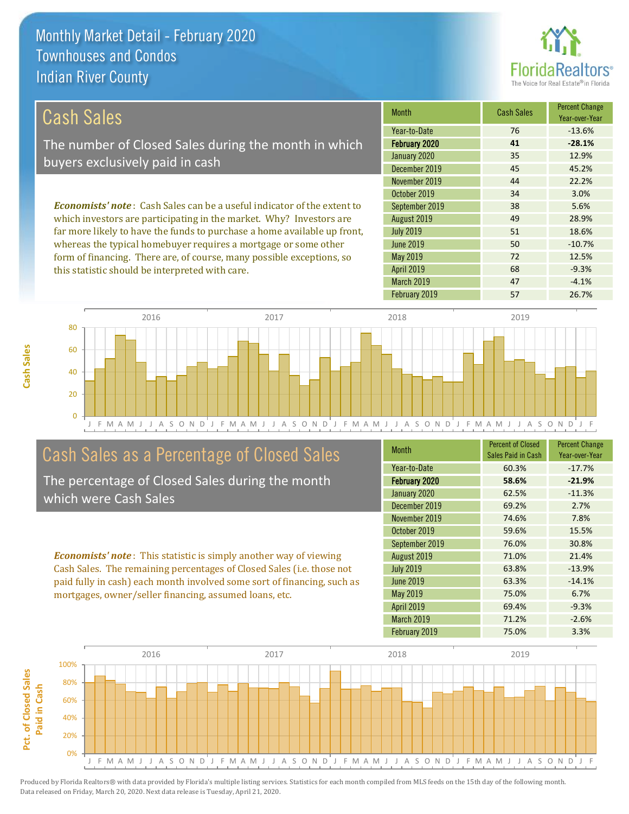this statistic should be interpreted with care.



68 -9.3%

| Cash Sales                                                                     | <b>Month</b>     | <b>Cash Sales</b> | <b>Percent Change</b><br>Year-over-Year |
|--------------------------------------------------------------------------------|------------------|-------------------|-----------------------------------------|
|                                                                                | Year-to-Date     | 76                | $-13.6%$                                |
| The number of Closed Sales during the month in which                           | February 2020    | 41                | $-28.1%$                                |
| buyers exclusively paid in cash                                                | January 2020     | 35                | 12.9%                                   |
|                                                                                | December 2019    | 45                | 45.2%                                   |
|                                                                                | November 2019    | 44                | 22.2%                                   |
|                                                                                | October 2019     | 34                | 3.0%                                    |
| <b>Economists' note:</b> Cash Sales can be a useful indicator of the extent to | September 2019   | 38                | 5.6%                                    |
| which investors are participating in the market. Why? Investors are            | August 2019      | 49                | 28.9%                                   |
| far more likely to have the funds to purchase a home available up front,       | <b>July 2019</b> | 51                | 18.6%                                   |
| whereas the typical homebuyer requires a mortgage or some other                | <b>June 2019</b> | 50                | $-10.7%$                                |
| form of financing. There are, of course, many possible exceptions, so          | May 2019         | 72                | 12.5%                                   |

J F M A M J J A S O N D J F M A M J J A S O N D J F M A M J J A S O N D J F M A M J J A S O N D J F 0 20 40 60 80 2016 2017 2018 2019

## Cash Sales as a Percentage of Closed Sales

The percentage of Closed Sales during the month which were Cash Sales

*Economists' note* : This statistic is simply another way of viewing Cash Sales. The remaining percentages of Closed Sales (i.e. those not paid fully in cash) each month involved some sort of financing, such as mortgages, owner/seller financing, assumed loans, etc.

| <b>Month</b>      | <b>Percent of Closed</b><br>Sales Paid in Cash | <b>Percent Change</b><br>Year-over-Year |
|-------------------|------------------------------------------------|-----------------------------------------|
| Year-to-Date      | 60.3%                                          | $-17.7%$                                |
| February 2020     | 58.6%                                          | $-21.9%$                                |
| January 2020      | 62.5%                                          | $-11.3%$                                |
| December 2019     | 69.2%                                          | 2.7%                                    |
| November 2019     | 74.6%                                          | 7.8%                                    |
| October 2019      | 59.6%                                          | 15.5%                                   |
| September 2019    | 76.0%                                          | 30.8%                                   |
| August 2019       | 71.0%                                          | 21.4%                                   |
| <b>July 2019</b>  | 63.8%                                          | $-13.9%$                                |
| <b>June 2019</b>  | 63.3%                                          | $-14.1%$                                |
| May 2019          | 75.0%                                          | 6.7%                                    |
| <b>April 2019</b> | 69.4%                                          | $-9.3%$                                 |
| March 2019        | 71.2%                                          | $-2.6%$                                 |
| February 2019     | 75.0%                                          | 3.3%                                    |

March 2019 **47** -4.1%

April 2019

February 2019 **57** 26.7%

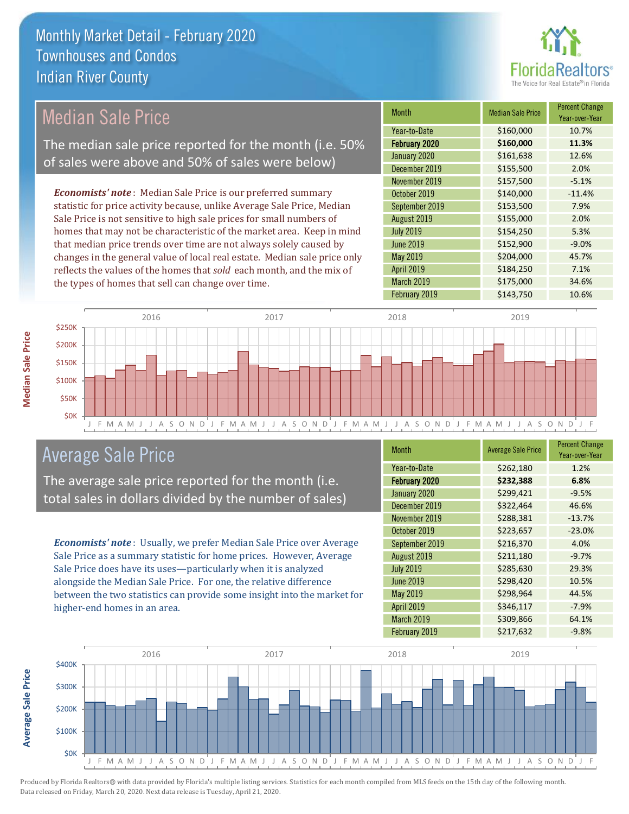

### Median Sale Price

The median sale price reported for the month (i.e. 50% of sales were above and 50% of sales were below)

*Economists' note* : Median Sale Price is our preferred summary statistic for price activity because, unlike Average Sale Price, Median Sale Price is not sensitive to high sale prices for small numbers of homes that may not be characteristic of the market area. Keep in mind that median price trends over time are not always solely caused by changes in the general value of local real estate. Median sale price only reflects the values of the homes that *sold* each month, and the mix of the types of homes that sell can change over time.

| <b>Month</b>     | <b>Median Sale Price</b> | <b>Percent Change</b><br>Year-over-Year |
|------------------|--------------------------|-----------------------------------------|
| Year-to-Date     | \$160,000                | 10.7%                                   |
| February 2020    | \$160,000                | 11.3%                                   |
| January 2020     | \$161,638                | 12.6%                                   |
| December 2019    | \$155,500                | 2.0%                                    |
| November 2019    | \$157,500                | $-5.1%$                                 |
| October 2019     | \$140,000                | $-11.4%$                                |
| September 2019   | \$153,500                | 7.9%                                    |
| August 2019      | \$155,000                | 2.0%                                    |
| <b>July 2019</b> | \$154,250                | 5.3%                                    |
| <b>June 2019</b> | \$152,900                | $-9.0%$                                 |
| May 2019         | \$204,000                | 45.7%                                   |
| April 2019       | \$184,250                | 7.1%                                    |
| March 2019       | \$175,000                | 34.6%                                   |
| February 2019    | \$143,750                | 10.6%                                   |



### Average Sale Price

The average sale price reported for the month (i.e. total sales in dollars divided by the number of sales)

*Economists' note* : Usually, we prefer Median Sale Price over Average Sale Price as a summary statistic for home prices. However, Average Sale Price does have its uses—particularly when it is analyzed alongside the Median Sale Price. For one, the relative difference between the two statistics can provide some insight into the market for higher-end homes in an area.

| Month            | <b>Average Sale Price</b> | <b>Percent Change</b><br>Year-over-Year |
|------------------|---------------------------|-----------------------------------------|
| Year-to-Date     | \$262,180                 | 1.2%                                    |
| February 2020    | \$232,388                 | 6.8%                                    |
| January 2020     | \$299,421                 | $-9.5%$                                 |
| December 2019    | \$322,464                 | 46.6%                                   |
| November 2019    | \$288,381                 | $-13.7%$                                |
| October 2019     | \$223,657                 | $-23.0%$                                |
| September 2019   | \$216,370                 | 4.0%                                    |
| August 2019      | \$211,180                 | $-9.7%$                                 |
| <b>July 2019</b> | \$285,630                 | 29.3%                                   |
| <b>June 2019</b> | \$298,420                 | 10.5%                                   |
| May 2019         | \$298,964                 | 44.5%                                   |
| April 2019       | \$346,117                 | $-7.9%$                                 |
| March 2019       | \$309,866                 | 64.1%                                   |
| February 2019    | \$217,632                 | $-9.8%$                                 |



Produced by Florida Realtors® with data provided by Florida's multiple listing services. Statistics for each month compiled from MLS feeds on the 15th day of the following month. Data released on Friday, March 20, 2020. Next data release is Tuesday, April 21, 2020.

**Average Sale Price**

Average Sale Price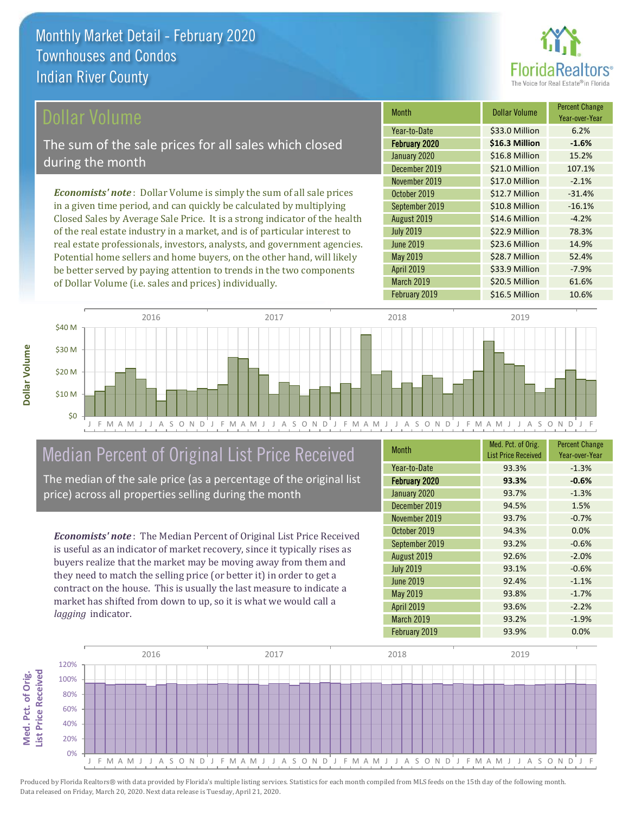

Year-over-Year

### Dollar Volume

The sum of the sale prices for all sales which closed during the month

*Economists' note* : Dollar Volume is simply the sum of all sale prices in a given time period, and can quickly be calculated by multiplying Closed Sales by Average Sale Price. It is a strong indicator of the health of the real estate industry in a market, and is of particular interest to real estate professionals, investors, analysts, and government agencies. Potential home sellers and home buyers, on the other hand, will likely be better served by paying attention to trends in the two components of Dollar Volume (i.e. sales and prices) individually.



### Median Percent of Original List Price Received

The median of the sale price (as a percentage of the original list price) across all properties selling during the month

*Economists' note* : The Median Percent of Original List Price Received is useful as an indicator of market recovery, since it typically rises as buyers realize that the market may be moving away from them and they need to match the selling price (or better it) in order to get a contract on the house. This is usually the last measure to indicate a market has shifted from down to up, so it is what we would call a *lagging* indicator.

| <b>Month</b>      | Med. Pct. of Orig.<br><b>List Price Received</b> | <b>Percent Change</b><br>Year-over-Year |
|-------------------|--------------------------------------------------|-----------------------------------------|
| Year-to-Date      | 93.3%                                            | $-1.3%$                                 |
| February 2020     | 93.3%                                            | $-0.6%$                                 |
| January 2020      | 93.7%                                            | $-1.3%$                                 |
| December 2019     | 94.5%                                            | 1.5%                                    |
| November 2019     | 93.7%                                            | $-0.7%$                                 |
| October 2019      | 94.3%                                            | 0.0%                                    |
| September 2019    | 93.2%                                            | $-0.6%$                                 |
| August 2019       | 92.6%                                            | $-2.0%$                                 |
| <b>July 2019</b>  | 93.1%                                            | $-0.6%$                                 |
| June 2019         | 92.4%                                            | $-1.1%$                                 |
| May 2019          | 93.8%                                            | $-1.7%$                                 |
| April 2019        | 93.6%                                            | $-2.2%$                                 |
| <b>March 2019</b> | 93.2%                                            | $-1.9%$                                 |
| February 2019     | 93.9%                                            | 0.0%                                    |

June 2019 **\$23.6 Million** 14.9%

November 2019 **\$17.0 Million** -2.1% October 2019 **\$12.7 Million** -31.4% September 2019 **\$10.8 Million** -16.1% August 2019 **\$14.6 Million** -4.2% July 2019 **\$22.9 Million** 78.3%

January 2020 <br>
\$16.8 Million 15.2% December 2019 **\$21.0 Million** 107.1%

February 2020 **\$16.3 Million -1.6%** Year-to-Date \$33.0 Million 6.2%

Month **Dollar Volume** Percent Change

March 2019 \$20.5 Million 61.6%

\$33.9 Million -7.9%

\$28.7 Million 52.4%

May 2019

April 2019

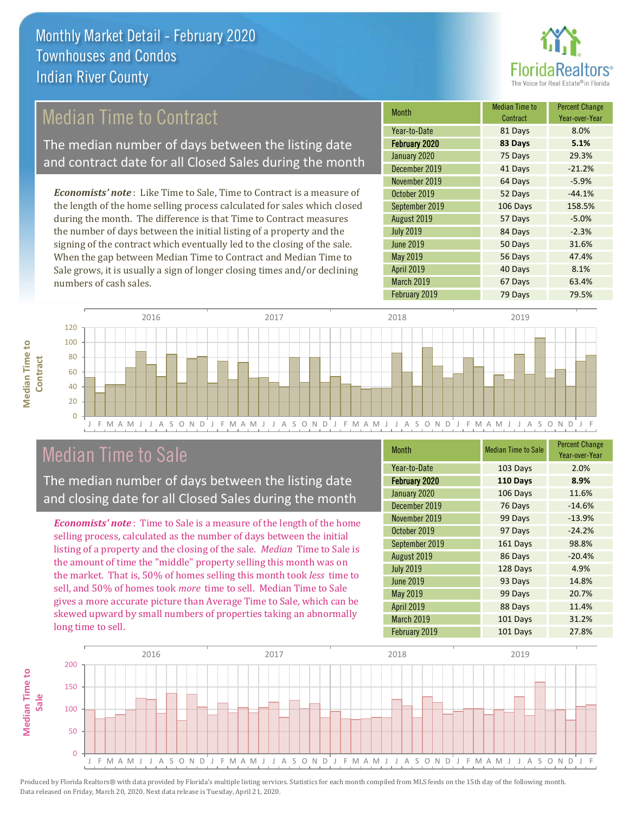

## Median Time to Contract

The median number of days between the listing date and contract date for all Closed Sales during the month

*Economists' note* : Like Time to Sale, Time to Contract is a measure of the length of the home selling process calculated for sales which closed during the month. The difference is that Time to Contract measures the number of days between the initial listing of a property and the signing of the contract which eventually led to the closing of the sale. When the gap between Median Time to Contract and Median Time to Sale grows, it is usually a sign of longer closing times and/or declining numbers of cash sales.

| Month            | Median Time to<br>Contract | <b>Percent Change</b><br>Year-over-Year |
|------------------|----------------------------|-----------------------------------------|
| Year-to-Date     | 81 Days                    | 8.0%                                    |
| February 2020    | 83 Days                    | 5.1%                                    |
| January 2020     | 75 Days                    | 29.3%                                   |
| December 2019    | 41 Days                    | $-21.2%$                                |
| November 2019    | 64 Days                    | $-5.9%$                                 |
| October 2019     | 52 Days                    | $-44.1%$                                |
| September 2019   | 106 Days                   | 158.5%                                  |
| August 2019      | 57 Days                    | $-5.0%$                                 |
| <b>July 2019</b> | 84 Days                    | $-2.3%$                                 |
| <b>June 2019</b> | 50 Days                    | 31.6%                                   |
| May 2019         | 56 Days                    | 47.4%                                   |
| April 2019       | 40 Days                    | 8.1%                                    |
| March 2019       | 67 Days                    | 63.4%                                   |
| February 2019    | 79 Days                    | 79.5%                                   |



### Median Time to Sale

**Median Time to Contract**

**Median Time to** 

The median number of days between the listing date and closing date for all Closed Sales during the month

*Economists' note* : Time to Sale is a measure of the length of the home selling process, calculated as the number of days between the initial listing of a property and the closing of the sale. *Median* Time to Sale is the amount of time the "middle" property selling this month was on the market. That is, 50% of homes selling this month took *less* time to sell, and 50% of homes took *more* time to sell. Median Time to Sale gives a more accurate picture than Average Time to Sale, which can be skewed upward by small numbers of properties taking an abnormally long time to sell.

| <b>Month</b>     | <b>Median Time to Sale</b> | <b>Percent Change</b><br>Year-over-Year |
|------------------|----------------------------|-----------------------------------------|
| Year-to-Date     | 103 Days                   | 2.0%                                    |
| February 2020    | 110 Days                   | 8.9%                                    |
| January 2020     | 106 Days                   | 11.6%                                   |
| December 2019    | 76 Days                    | $-14.6%$                                |
| November 2019    | 99 Days                    | $-13.9%$                                |
| October 2019     | 97 Days                    | $-24.2%$                                |
| September 2019   | 161 Days                   | 98.8%                                   |
| August 2019      | 86 Days                    | $-20.4%$                                |
| <b>July 2019</b> | 128 Days                   | 4.9%                                    |
| <b>June 2019</b> | 93 Days                    | 14.8%                                   |
| May 2019         | 99 Days                    | 20.7%                                   |
| April 2019       | 88 Days                    | 11.4%                                   |
| March 2019       | 101 Days                   | 31.2%                                   |
| February 2019    | 101 Days                   | 27.8%                                   |

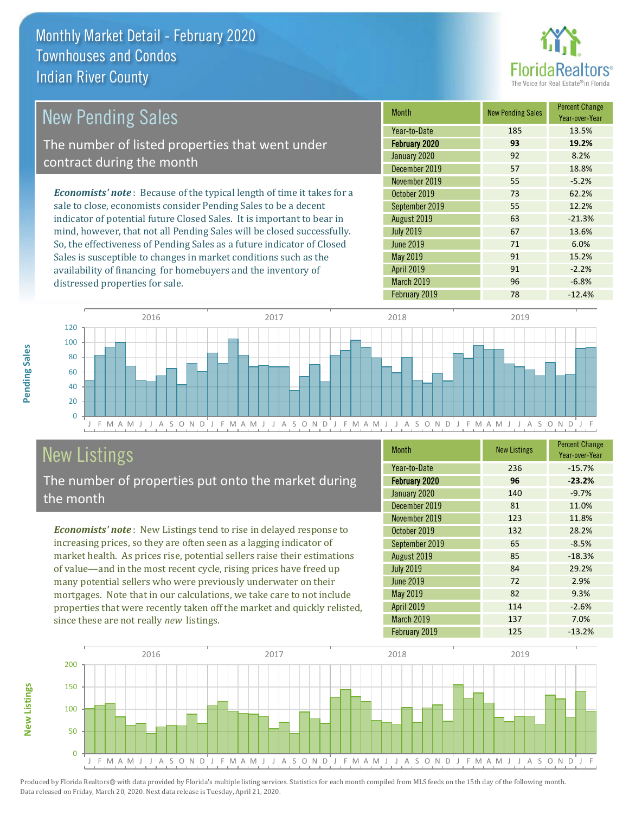

| New Pending Sales                                                              | <b>Month</b>     | <b>New Pending Sales</b> | <b>Percent Change</b><br>Year-over-Year |
|--------------------------------------------------------------------------------|------------------|--------------------------|-----------------------------------------|
|                                                                                | Year-to-Date     | 185                      | 13.5%                                   |
| The number of listed properties that went under                                | February 2020    | 93                       | 19.2%                                   |
| contract during the month                                                      | January 2020     | 92                       | 8.2%                                    |
|                                                                                | December 2019    | 57                       | 18.8%                                   |
|                                                                                | November 2019    | 55                       | $-5.2%$                                 |
| <b>Economists' note</b> : Because of the typical length of time it takes for a | October 2019     | 73                       | 62.2%                                   |
| sale to close, economists consider Pending Sales to be a decent                | September 2019   | 55                       | 12.2%                                   |
| indicator of potential future Closed Sales. It is important to bear in         | August 2019      | 63                       | $-21.3%$                                |
| mind, however, that not all Pending Sales will be closed successfully.         | <b>July 2019</b> | 67                       | 13.6%                                   |
| So, the effectiveness of Pending Sales as a future indicator of Closed         | June 2019        | 71                       | 6.0%                                    |
| Sales is susceptible to changes in market conditions such as the               | May 2019         | 91                       | 15.2%                                   |

J F M A M J J A S O N D J F M A M J J A S O N D J F M A M J J A S O N D J F M A M J J A S O N D J F  $\overline{0}$ 20 40 60 80 100 120 2016 2017 2018 2019

# New Listings

**New Listings**

**Pending Sales**

Pending Sales

distressed properties for sale.

The number of properties put onto the market during the month

availability of financing for homebuyers and the inventory of

*Economists' note* : New Listings tend to rise in delayed response to increasing prices, so they are often seen as a lagging indicator of market health. As prices rise, potential sellers raise their estimations of value—and in the most recent cycle, rising prices have freed up many potential sellers who were previously underwater on their mortgages. Note that in our calculations, we take care to not include properties that were recently taken off the market and quickly relisted, since these are not really *new* listings.

| <b>Month</b>      | <b>New Listings</b> | <b>Percent Change</b><br>Year-over-Year |
|-------------------|---------------------|-----------------------------------------|
| Year-to-Date      | 236                 | $-15.7%$                                |
| February 2020     | 96                  | $-23.2%$                                |
| January 2020      | 140                 | $-9.7%$                                 |
| December 2019     | 81                  | 11.0%                                   |
| November 2019     | 123                 | 11.8%                                   |
| October 2019      | 132                 | 28.2%                                   |
| September 2019    | 65                  | $-8.5%$                                 |
| August 2019       | 85                  | $-18.3%$                                |
| <b>July 2019</b>  | 84                  | 29.2%                                   |
| <b>June 2019</b>  | 72                  | 2.9%                                    |
| May 2019          | 82                  | 9.3%                                    |
| <b>April 2019</b> | 114                 | $-2.6%$                                 |
| <b>March 2019</b> | 137                 | 7.0%                                    |
| February 2019     | 125                 | $-13.2%$                                |

February 2019 78 -12.4%

April 2019 **91** -2.2% March 2019 **96** -6.8%

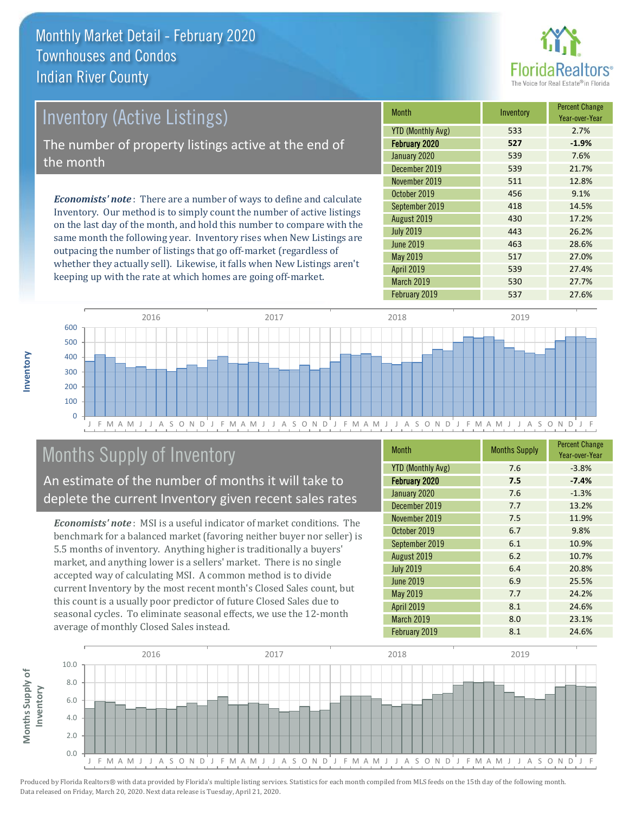

# Inventory (Active Listings) The number of property listings active at the end of the month

*Economists' note* : There are a number of ways to define and calculate Inventory. Our method is to simply count the number of active listings on the last day of the month, and hold this number to compare with the same month the following year. Inventory rises when New Listings are outpacing the number of listings that go off-market (regardless of whether they actually sell). Likewise, it falls when New Listings aren't keeping up with the rate at which homes are going off-market.

| <b>Month</b>             | Inventory | <b>Percent Change</b><br>Year-over-Year |
|--------------------------|-----------|-----------------------------------------|
| <b>YTD (Monthly Avg)</b> | 533       | 2.7%                                    |
| February 2020            | 527       | $-1.9%$                                 |
| January 2020             | 539       | 7.6%                                    |
| December 2019            | 539       | 21.7%                                   |
| November 2019            | 511       | 12.8%                                   |
| October 2019             | 456       | 9.1%                                    |
| September 2019           | 418       | 14.5%                                   |
| August 2019              | 430       | 17.2%                                   |
| <b>July 2019</b>         | 443       | 26.2%                                   |
| <b>June 2019</b>         | 463       | 28.6%                                   |
| May 2019                 | 517       | 27.0%                                   |
| <b>April 2019</b>        | 539       | 27.4%                                   |
| March 2019               | 530       | 27.7%                                   |
| February 2019            | 537       | 27.6%                                   |



# Months Supply of Inventory

An estimate of the number of months it will take to deplete the current Inventory given recent sales rates

*Economists' note* : MSI is a useful indicator of market conditions. The benchmark for a balanced market (favoring neither buyer nor seller) is 5.5 months of inventory. Anything higher is traditionally a buyers' market, and anything lower is a sellers' market. There is no single accepted way of calculating MSI. A common method is to divide current Inventory by the most recent month's Closed Sales count, but this count is a usually poor predictor of future Closed Sales due to seasonal cycles. To eliminate seasonal effects, we use the 12-month average of monthly Closed Sales instead.

| <b>Month</b>             | <b>Months Supply</b> | <b>Percent Change</b><br>Year-over-Year |
|--------------------------|----------------------|-----------------------------------------|
| <b>YTD (Monthly Avg)</b> | 7.6                  | $-3.8%$                                 |
| February 2020            | 7.5                  | $-7.4%$                                 |
| January 2020             | 7.6                  | $-1.3%$                                 |
| December 2019            | 7.7                  | 13.2%                                   |
| November 2019            | 7.5                  | 11.9%                                   |
| October 2019             | 6.7                  | 9.8%                                    |
| September 2019           | 6.1                  | 10.9%                                   |
| August 2019              | 6.2                  | 10.7%                                   |
| <b>July 2019</b>         | 6.4                  | 20.8%                                   |
| <b>June 2019</b>         | 6.9                  | 25.5%                                   |
| May 2019                 | 7.7                  | 24.2%                                   |
| <b>April 2019</b>        | 8.1                  | 24.6%                                   |
| March 2019               | 8.0                  | 23.1%                                   |
| February 2019            | 8.1                  | 24.6%                                   |

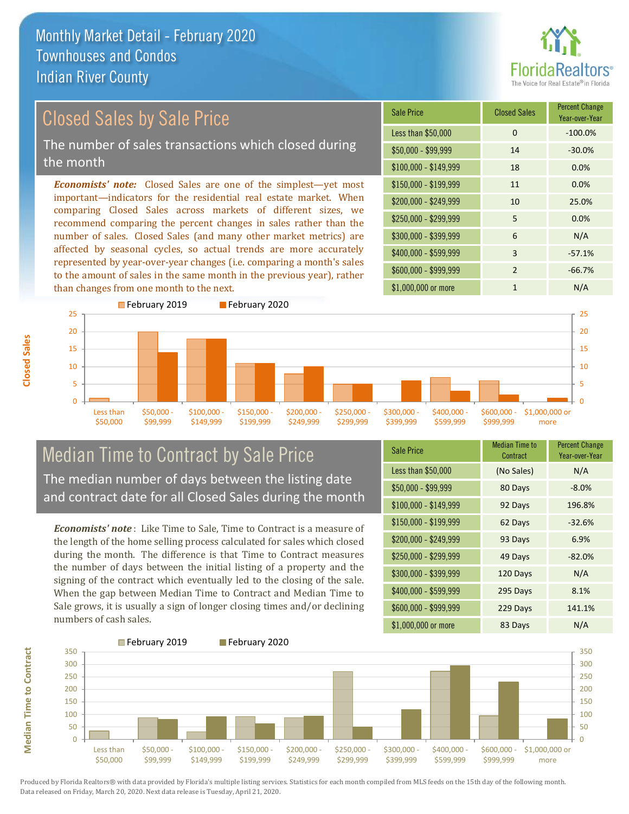

# Closed Sales by Sale Price The number of sales transactions which closed during the month

*Economists' note:* Closed Sales are one of the simplest—yet most important—indicators for the residential real estate market. When comparing Closed Sales across markets of different sizes, we recommend comparing the percent changes in sales rather than the number of sales. Closed Sales (and many other market metrics) are affected by seasonal cycles, so actual trends are more accurately represented by year-over-year changes (i.e. comparing a month's sales to the amount of sales in the same month in the previous year), rather than changes from one month to the next.





### Median Time to Contract by Sale Price The median number of days between the listing date and contract date for all Closed Sales during the month

*Economists' note* : Like Time to Sale, Time to Contract is a measure of the length of the home selling process calculated for sales which closed during the month. The difference is that Time to Contract measures the number of days between the initial listing of a property and the signing of the contract which eventually led to the closing of the sale. When the gap between Median Time to Contract and Median Time to Sale grows, it is usually a sign of longer closing times and/or declining numbers of cash sales.

| <b>Sale Price</b>     | <b>Median Time to</b><br>Contract | <b>Percent Change</b><br>Year-over-Year |
|-----------------------|-----------------------------------|-----------------------------------------|
| Less than \$50,000    | (No Sales)                        | N/A                                     |
| $$50,000 - $99,999$   | 80 Days                           | $-8.0%$                                 |
| $$100,000 - $149,999$ | 92 Days                           | 196.8%                                  |
| $$150,000 - $199,999$ | 62 Days                           | $-32.6%$                                |
| \$200,000 - \$249,999 | 93 Days                           | 6.9%                                    |
| \$250,000 - \$299,999 | 49 Days                           | $-82.0%$                                |
| \$300,000 - \$399,999 | 120 Days                          | N/A                                     |
| $$400,000 - $599,999$ | 295 Days                          | 8.1%                                    |
| \$600,000 - \$999,999 | 229 Days                          | 141.1%                                  |
| \$1,000,000 or more   | 83 Days                           | N/A                                     |



**Closed Sales**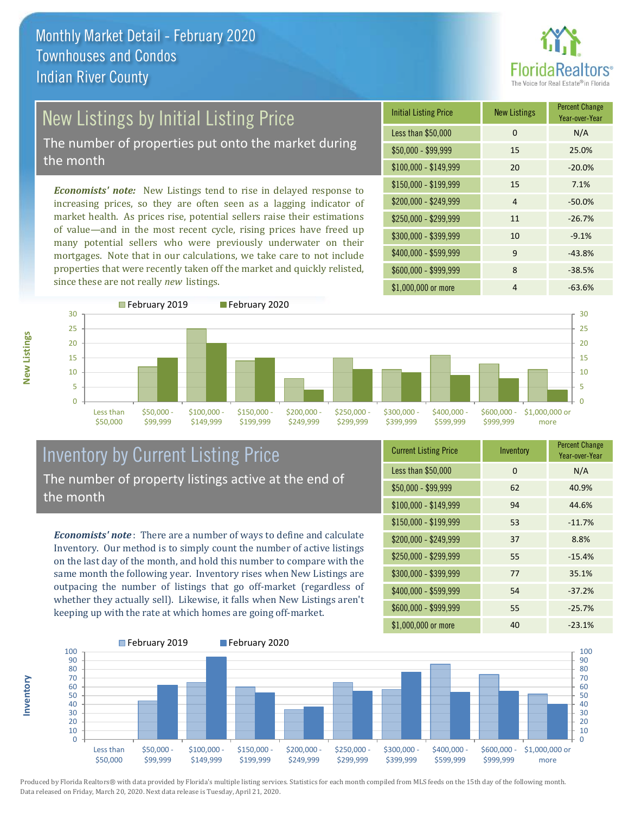

# New Listings by Initial Listing Price

The number of properties put onto the market during the month

*Economists' note:* New Listings tend to rise in delayed response to increasing prices, so they are often seen as a lagging indicator of market health. As prices rise, potential sellers raise their estimations of value—and in the most recent cycle, rising prices have freed up many potential sellers who were previously underwater on their mortgages. Note that in our calculations, we take care to not include properties that were recently taken off the market and quickly relisted, since these are not really *new* listings.

| <b>Initial Listing Price</b> | <b>New Listings</b> | <b>Percent Change</b><br>Year-over-Year |
|------------------------------|---------------------|-----------------------------------------|
| Less than \$50,000           | $\Omega$            | N/A                                     |
| $$50,000 - $99,999$          | 15                  | 25.0%                                   |
| $$100,000 - $149,999$        | 20                  | $-20.0%$                                |
| $$150,000 - $199,999$        | 15                  | 7.1%                                    |
| \$200,000 - \$249,999        | 4                   | $-50.0%$                                |
| \$250,000 - \$299,999        | 11                  | $-26.7%$                                |
| \$300,000 - \$399,999        | 10                  | $-9.1%$                                 |
| \$400,000 - \$599,999        | 9                   | $-43.8%$                                |
| \$600,000 - \$999,999        | 8                   | $-38.5%$                                |
| \$1,000,000 or more          | 4                   | $-63.6%$                                |



### Inventory by Current Listing Price The number of property listings active at the end of the month

*Economists' note* : There are a number of ways to define and calculate Inventory. Our method is to simply count the number of active listings on the last day of the month, and hold this number to compare with the same month the following year. Inventory rises when New Listings are outpacing the number of listings that go off-market (regardless of whether they actually sell). Likewise, it falls when New Listings aren't keeping up with the rate at which homes are going off-market.

| <b>Current Listing Price</b> | Inventory | <b>Percent Change</b><br>Year-over-Year |
|------------------------------|-----------|-----------------------------------------|
| Less than \$50,000           | $\Omega$  | N/A                                     |
| $$50,000 - $99,999$          | 62        | 40.9%                                   |
| $$100,000 - $149,999$        | 94        | 44.6%                                   |
| $$150,000 - $199,999$        | 53        | $-11.7%$                                |
| \$200,000 - \$249,999        | 37        | 8.8%                                    |
| \$250,000 - \$299,999        | 55        | $-15.4%$                                |
| \$300,000 - \$399,999        | 77        | 35.1%                                   |
| \$400,000 - \$599,999        | 54        | $-37.2%$                                |
| \$600,000 - \$999,999        | 55        | $-25.7%$                                |
| \$1,000,000 or more          | 40        | $-23.1%$                                |



Produced by Florida Realtors® with data provided by Florida's multiple listing services. Statistics for each month compiled from MLS feeds on the 15th day of the following month. Data released on Friday, March 20, 2020. Next data release is Tuesday, April 21, 2020.

**Inventory**